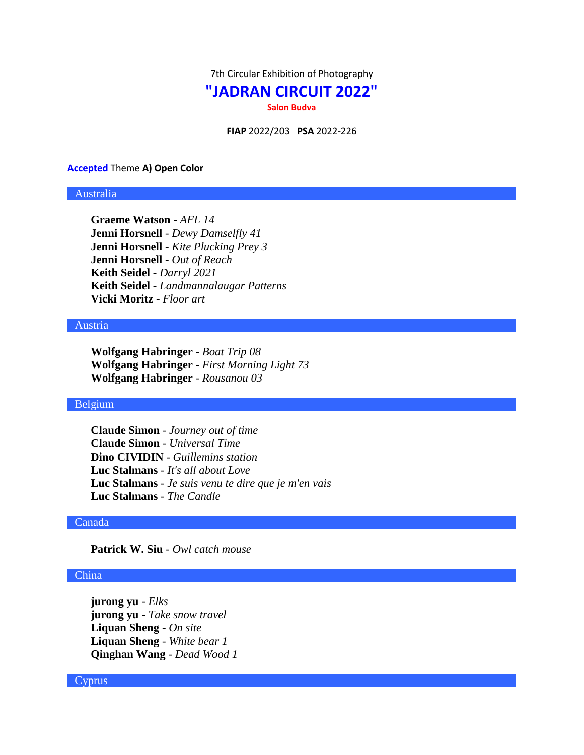7th Circular Exhibition of Photography

# **"JADRAN CIRCUIT 2022"**

**Salon Budva**

**FIAP** 2022/203 **PSA** 2022-226

#### **Accepted** Theme **A) Open Color**

### Australia

**Graeme Watson** - *AFL 14* **Jenni Horsnell** - *Dewy Damselfly 41* **Jenni Horsnell** - *Kite Plucking Prey 3* **Jenni Horsnell** - *Out of Reach* **Keith Seidel** - *Darryl 2021* **Keith Seidel** - *Landmannalaugar Patterns* **Vicki Moritz** - *Floor art*

### Austria

**Wolfgang Habringer** - *Boat Trip 08* **Wolfgang Habringer** - *First Morning Light 73* **Wolfgang Habringer** - *Rousanou 03*

### Belgium

**Claude Simon** - *Journey out of time* **Claude Simon** - *Universal Time* **Dino CIVIDIN** - *Guillemins station* **Luc Stalmans** - *It's all about Love* **Luc Stalmans** - *Je suis venu te dire que je m'en vais* **Luc Stalmans** - *The Candle*

### Canada

**Patrick W. Siu** - *Owl catch mouse*

### China

**jurong yu** - *Elks* **jurong yu** - *Take snow travel* **Liquan Sheng** - *On site* **Liquan Sheng** - *White bear 1* **Qinghan Wang** - *Dead Wood 1*

# **Cyprus**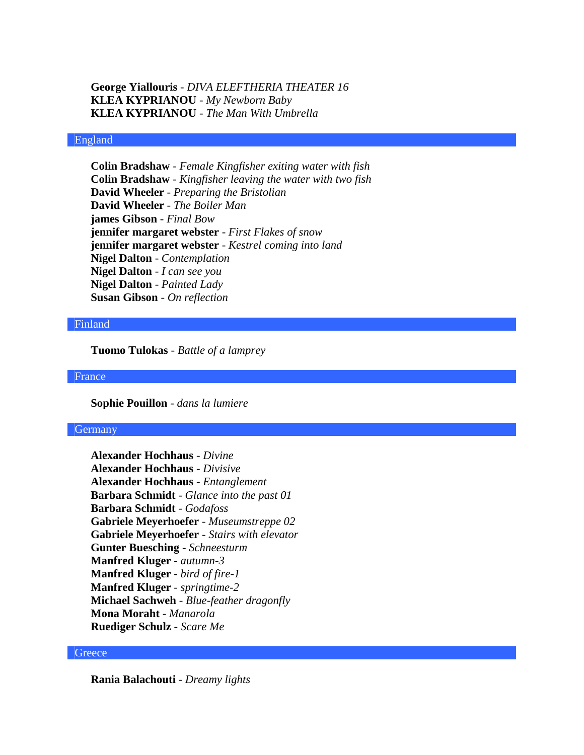**George Yiallouris** - *DIVA ELEFTHERIA THEATER 16* **KLEA KYPRIANOU** - *My Newborn Baby* **KLEA KYPRIANOU** - *The Man With Umbrella*

## England

**Colin Bradshaw** - *Female Kingfisher exiting water with fish* **Colin Bradshaw** - *Kingfisher leaving the water with two fish* **David Wheeler** - *Preparing the Bristolian* **David Wheeler** - *The Boiler Man* **james Gibson** - *Final Bow* **jennifer margaret webster** - *First Flakes of snow* **jennifer margaret webster** - *Kestrel coming into land* **Nigel Dalton** - *Contemplation* **Nigel Dalton** - *I can see you* **Nigel Dalton** - *Painted Lady* **Susan Gibson** - *On reflection*

#### Finland

**Tuomo Tulokas** - *Battle of a lamprey*

France

**Sophie Pouillon** - *dans la lumiere*

### **Germany**

**Alexander Hochhaus** - *Divine* **Alexander Hochhaus** - *Divisive* **Alexander Hochhaus** - *Entanglement* **Barbara Schmidt** - *Glance into the past 01* **Barbara Schmidt** - *Godafoss* **Gabriele Meyerhoefer** - *Museumstreppe 02* **Gabriele Meyerhoefer** - *Stairs with elevator* **Gunter Buesching** - *Schneesturm* **Manfred Kluger** - *autumn-3* **Manfred Kluger** - *bird of fire-1* **Manfred Kluger** - *springtime-2* **Michael Sachweh** - *Blue-feather dragonfly* **Mona Moraht** - *Manarola* **Ruediger Schulz** - *Scare Me*

#### **Greece**

**Rania Balachouti** - *Dreamy lights*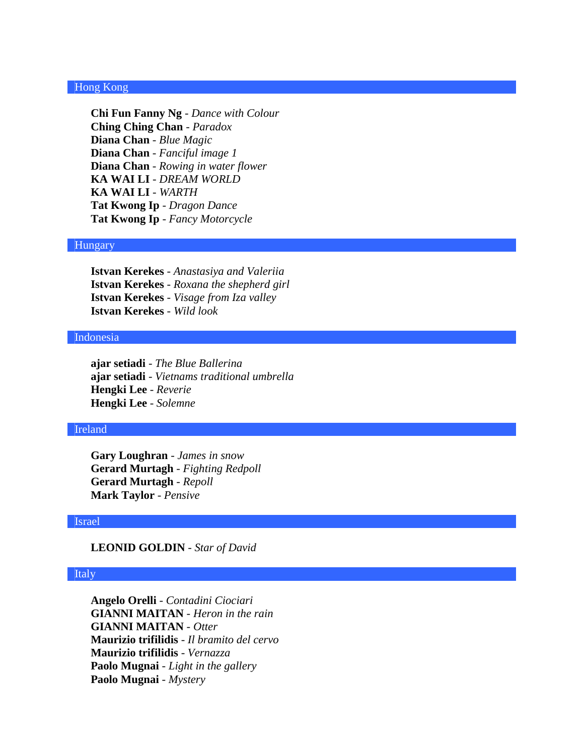# Hong Kong

**Chi Fun Fanny Ng** - *Dance with Colour* **Ching Ching Chan** - *Paradox* **Diana Chan** - *Blue Magic* **Diana Chan** - *Fanciful image 1* **Diana Chan** - *Rowing in water flower* **KA WAI LI** - *DREAM WORLD* **KA WAI LI** - *WARTH* **Tat Kwong Ip** - *Dragon Dance* **Tat Kwong Ip** - *Fancy Motorcycle*

# Hungary

**Istvan Kerekes** - *Anastasiya and Valeriia* **Istvan Kerekes** - *Roxana the shepherd girl* **Istvan Kerekes** - *Visage from Iza valley* **Istvan Kerekes** - *Wild look*

### Indonesia

**ajar setiadi** - *The Blue Ballerina* **ajar setiadi** - *Vietnams traditional umbrella* **Hengki Lee** - *Reverie* **Hengki Lee** - *Solemne*

### Ireland

**Gary Loughran** - *James in snow* **Gerard Murtagh** - *Fighting Redpoll* **Gerard Murtagh** - *Repoll* **Mark Taylor** - *Pensive*

### Israel

# **LEONID GOLDIN** - *Star of David*

#### Italy

**Angelo Orelli** - *Contadini Ciociari* **GIANNI MAITAN** - *Heron in the rain* **GIANNI MAITAN** - *Otter* **Maurizio trifilidis** - *Il bramito del cervo* **Maurizio trifilidis** - *Vernazza* **Paolo Mugnai** - *Light in the gallery* **Paolo Mugnai** - *Mystery*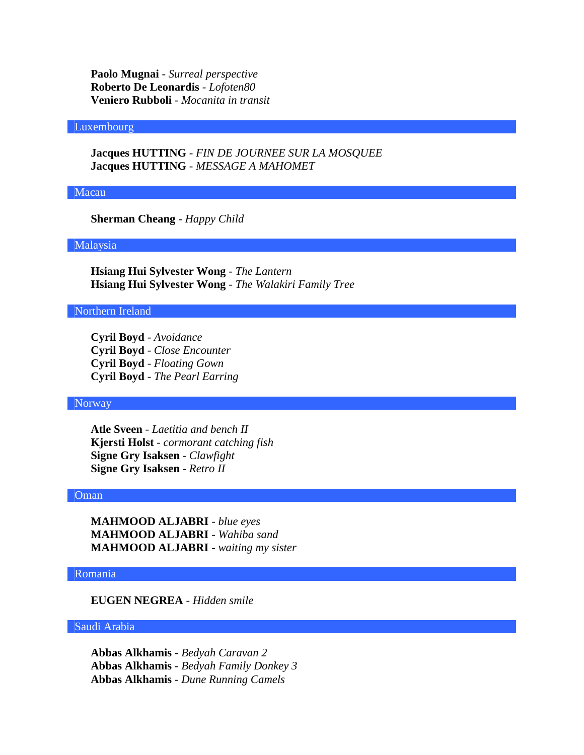**Paolo Mugnai** - *Surreal perspective* **Roberto De Leonardis** - *Lofoten80* **Veniero Rubboli** - *Mocanita in transit*

### Luxembourg

**Jacques HUTTING** - *FIN DE JOURNEE SUR LA MOSQUEE* **Jacques HUTTING** - *MESSAGE A MAHOMET*

### Macau

**Sherman Cheang** - *Happy Child*

# Malaysia

**Hsiang Hui Sylvester Wong** - *The Lantern* **Hsiang Hui Sylvester Wong** - *The Walakiri Family Tree*

# Northern Ireland

**Cyril Boyd** - *Avoidance* **Cyril Boyd** - *Close Encounter* **Cyril Boyd** - *Floating Gown* **Cyril Boyd** - *The Pearl Earring*

# Norway

**Atle Sveen** - *Laetitia and bench II* **Kjersti Holst** - *cormorant catching fish* **Signe Gry Isaksen** - *Clawfight* **Signe Gry Isaksen** - *Retro II*

### Oman

**MAHMOOD ALJABRI** - *blue eyes* **MAHMOOD ALJABRI** - *Wahiba sand* **MAHMOOD ALJABRI** - *waiting my sister*

### Romania

**EUGEN NEGREA** - *Hidden smile*

#### Saudi Arabia

**Abbas Alkhamis** - *Bedyah Caravan 2* **Abbas Alkhamis** - *Bedyah Family Donkey 3* **Abbas Alkhamis** - *Dune Running Camels*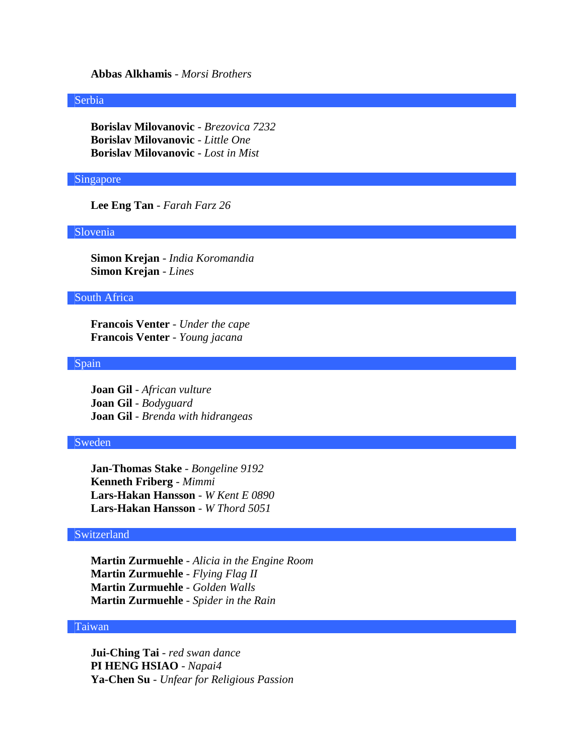## **Abbas Alkhamis** - *Morsi Brothers*

#### Serbia

**Borislav Milovanovic** - *Brezovica 7232* **Borislav Milovanovic** - *Little One* **Borislav Milovanovic** - *Lost in Mist*

# Singapore

**Lee Eng Tan** - *Farah Farz 26*

### Slovenia

**Simon Krejan** - *India Koromandia* **Simon Krejan** - *Lines*

### South Africa

**Francois Venter** - *Under the cape* **Francois Venter** - *Young jacana*

## Spain

**Joan Gil** - *African vulture* **Joan Gil** - *Bodyguard* **Joan Gil** - *Brenda with hidrangeas*

### Sweden

**Jan-Thomas Stake** - *Bongeline 9192* **Kenneth Friberg** - *Mimmi* **Lars-Hakan Hansson** - *W Kent E 0890* **Lars-Hakan Hansson** - *W Thord 5051*

# Switzerland

**Martin Zurmuehle** - *Alicia in the Engine Room* **Martin Zurmuehle** - *Flying Flag II* **Martin Zurmuehle** - *Golden Walls* **Martin Zurmuehle** - *Spider in the Rain*

### Taiwan

**Jui-Ching Tai** - *red swan dance* **PI HENG HSIAO** - *Napai4* **Ya-Chen Su** - *Unfear for Religious Passion*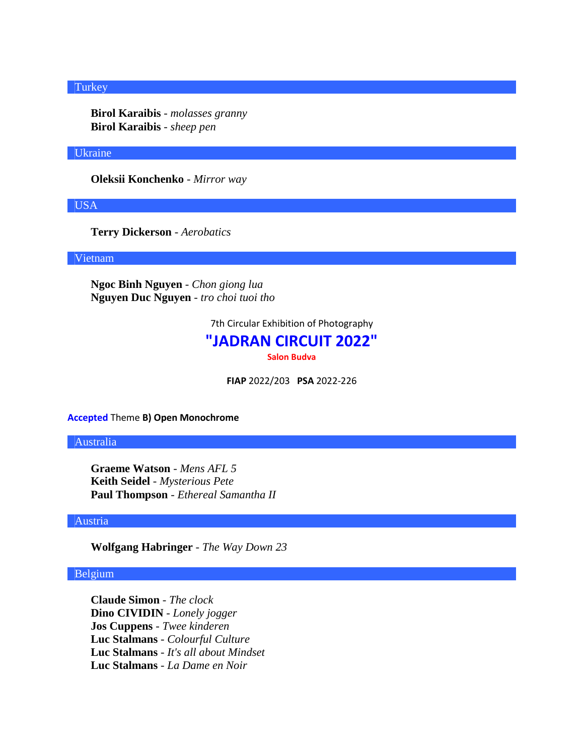# **Turkey**

**Birol Karaibis** - *molasses granny* **Birol Karaibis** - *sheep pen*

#### Ukraine

**Oleksii Konchenko** - *Mirror way*

USA

**Terry Dickerson** - *Aerobatics*

Vietnam

**Ngoc Binh Nguyen** - *Chon giong lua* **Nguyen Duc Nguyen** - *tro choi tuoi tho*

7th Circular Exhibition of Photography

# **"JADRAN CIRCUIT 2022"**

**Salon Budva**

**FIAP** 2022/203 **PSA** 2022-226

**Accepted** Theme **B) Open Monochrome**

Australia

**Graeme Watson** - *Mens AFL 5* **Keith Seidel** - *Mysterious Pete* **Paul Thompson** - *Ethereal Samantha II*

### Austria

**Wolfgang Habringer** - *The Way Down 23*

# Belgium

**Claude Simon** - *The clock* **Dino CIVIDIN** - *Lonely jogger* **Jos Cuppens** - *Twee kinderen* **Luc Stalmans** - *Colourful Culture* **Luc Stalmans** - *It's all about Mindset* **Luc Stalmans** - *La Dame en Noir*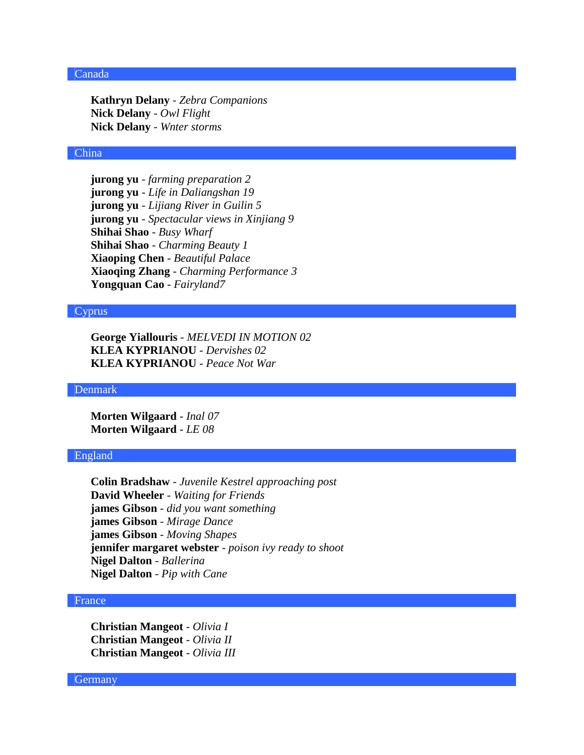# Canada

**Kathryn Delany** - *Zebra Companions* **Nick Delany** - *Owl Flight* **Nick Delany** - *Wnter storms*

#### China

**jurong yu** - *farming preparation 2* **jurong yu** - *Life in Daliangshan 19* **jurong yu** - *Lijiang River in Guilin 5* **jurong yu** - *Spectacular views in Xinjiang 9* **Shihai Shao** - *Busy Wharf* **Shihai Shao** - *Charming Beauty 1* **Xiaoping Chen** - *Beautiful Palace* **Xiaoqing Zhang** - *Charming Performance 3* **Yongquan Cao** - *Fairyland7*

## Cyprus

**George Yiallouris** - *MELVEDI IN MOTION 02* **KLEA KYPRIANOU** - *Dervishes 02* **KLEA KYPRIANOU** - *Peace Not War*

#### Denmark

**Morten Wilgaard** - *Inal 07* **Morten Wilgaard** - *LE 08*

### England

**Colin Bradshaw** - *Juvenile Kestrel approaching post* **David Wheeler** - *Waiting for Friends* **james Gibson** - *did you want something* **james Gibson** - *Mirage Dance* **james Gibson** - *Moving Shapes* **jennifer margaret webster** - *poison ivy ready to shoot* **Nigel Dalton** - *Ballerina* **Nigel Dalton** - *Pip with Cane*

### France

**Christian Mangeot** - *Olivia I* **Christian Mangeot** - *Olivia II* **Christian Mangeot** - *Olivia III*

**Germany**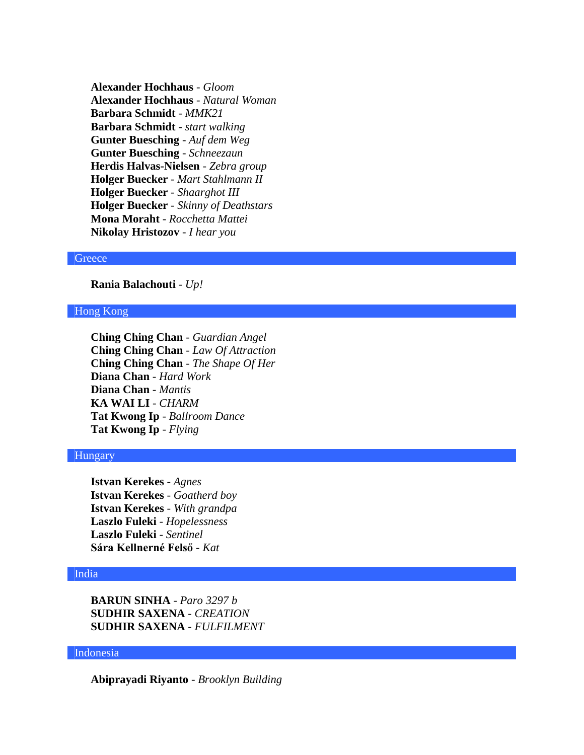**Alexander Hochhaus** - *Gloom* **Alexander Hochhaus** - *Natural Woman* **Barbara Schmidt** - *MMK21* **Barbara Schmidt** - *start walking* **Gunter Buesching** - *Auf dem Weg* **Gunter Buesching** - *Schneezaun* **Herdis Halvas-Nielsen** - *Zebra group* **Holger Buecker** - *Mart Stahlmann II* **Holger Buecker** - *Shaarghot III* **Holger Buecker** - *Skinny of Deathstars* **Mona Moraht** - *Rocchetta Mattei* **Nikolay Hristozov** - *I hear you*

#### **Greece**

**Rania Balachouti** - *Up!*

# Hong Kong

**Ching Ching Chan** - *Guardian Angel* **Ching Ching Chan** - *Law Of Attraction* **Ching Ching Chan** - *The Shape Of Her* **Diana Chan** - *Hard Work* **Diana Chan** - *Mantis* **KA WAI LI** - *CHARM* **Tat Kwong Ip** - *Ballroom Dance* **Tat Kwong Ip** - *Flying*

### Hungary

**Istvan Kerekes** - *Agnes* **Istvan Kerekes** - *Goatherd boy* **Istvan Kerekes** - *With grandpa* **Laszlo Fuleki** - *Hopelessness* **Laszlo Fuleki** - *Sentinel* **Sára Kellnerné Felső** - *Kat*

#### India

**BARUN SINHA** - *Paro 3297 b* **SUDHIR SAXENA** - *CREATION* **SUDHIR SAXENA** - *FULFILMENT*

### Indonesia

**Abiprayadi Riyanto** - *Brooklyn Building*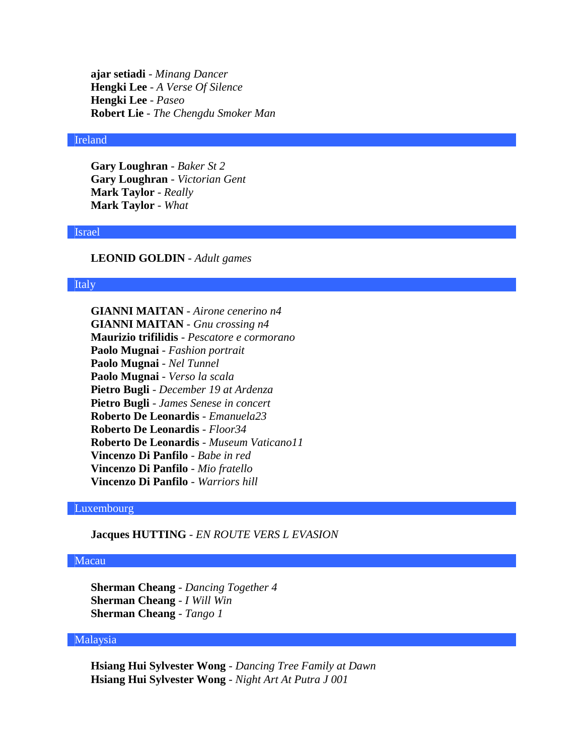**ajar setiadi** - *Minang Dancer* **Hengki Lee** - *A Verse Of Silence* **Hengki Lee** - *Paseo* **Robert Lie** - *The Chengdu Smoker Man*

### Ireland

**Gary Loughran** - *Baker St 2* **Gary Loughran** - *Victorian Gent* **Mark Taylor** - *Really* **Mark Taylor** - *What*

### Israel

### **LEONID GOLDIN** - *Adult games*

# **Italy**

**GIANNI MAITAN** - *Airone cenerino n4* **GIANNI MAITAN** - *Gnu crossing n4* **Maurizio trifilidis** - *Pescatore e cormorano* **Paolo Mugnai** - *Fashion portrait* **Paolo Mugnai** - *Nel Tunnel* **Paolo Mugnai** - *Verso la scala* **Pietro Bugli** - *December 19 at Ardenza* **Pietro Bugli** - *James Senese in concert* **Roberto De Leonardis** - *Emanuela23* **Roberto De Leonardis** - *Floor34* **Roberto De Leonardis** - *Museum Vaticano11* **Vincenzo Di Panfilo** - *Babe in red* **Vincenzo Di Panfilo** - *Mio fratello* **Vincenzo Di Panfilo** - *Warriors hill*

# Luxembourg

**Jacques HUTTING** - *EN ROUTE VERS L EVASION*

### Macau

**Sherman Cheang** - *Dancing Together 4* **Sherman Cheang** - *I Will Win* **Sherman Cheang** - *Tango 1*

# Malaysia

**Hsiang Hui Sylvester Wong** - *Dancing Tree Family at Dawn* **Hsiang Hui Sylvester Wong** - *Night Art At Putra J 001*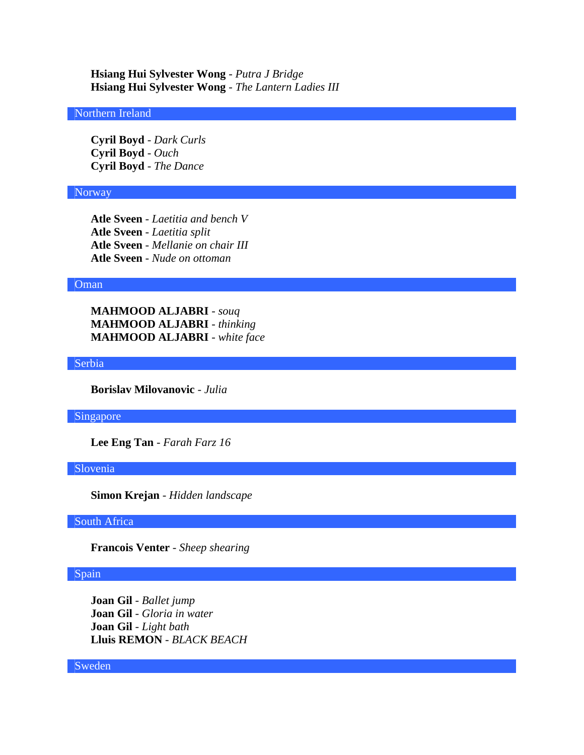**Hsiang Hui Sylvester Wong** - *Putra J Bridge* **Hsiang Hui Sylvester Wong** - *The Lantern Ladies III*

### Northern Ireland

**Cyril Boyd** - *Dark Curls* **Cyril Boyd** - *Ouch* **Cyril Boyd** - *The Dance*

#### Norway

**Atle Sveen** - *Laetitia and bench V* **Atle Sveen** - *Laetitia split* **Atle Sveen** - *Mellanie on chair III* **Atle Sveen** - *Nude on ottoman*

### Oman

**MAHMOOD ALJABRI** - *souq* **MAHMOOD ALJABRI** - *thinking* **MAHMOOD ALJABRI** - *white face*

Serbia

**Borislav Milovanovic** - *Julia*

Singapore

**Lee Eng Tan** - *Farah Farz 16*

Slovenia

**Simon Krejan** - *Hidden landscape*

South Africa

**Francois Venter** - *Sheep shearing*

#### Spain

**Joan Gil** - *Ballet jump* **Joan Gil** - *Gloria in water* **Joan Gil** - *Light bath* **Lluis REMON** - *BLACK BEACH*

Sweden